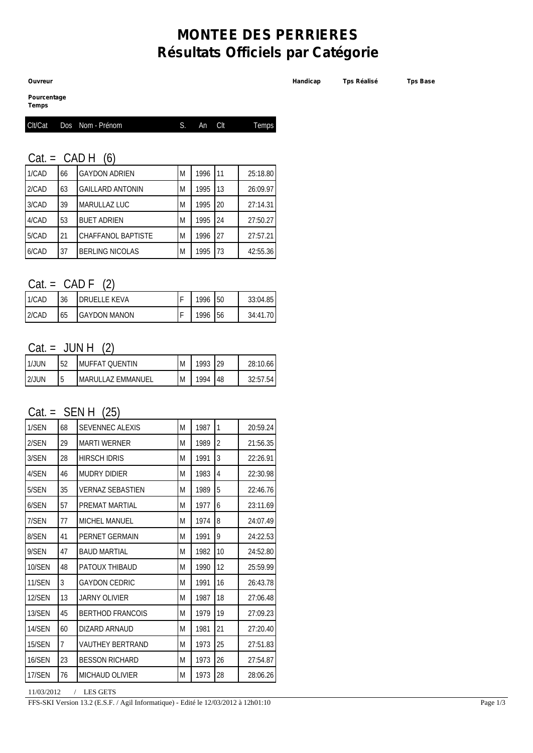# **MONTEE DES PERRIERES Résultats Officiels par Catégorie**

**Pourcentage**

**Temps**

|  | Clt/Cat Dos Nom - Prénom | S. An Citi | Temps |
|--|--------------------------|------------|-------|
|  |                          |            |       |

#### $Cat = CAD H (6)$

| 1/CAD | 66 | <b>GAYDON ADRIEN</b>      | M | 1996 | 11 | 25:18.80 |
|-------|----|---------------------------|---|------|----|----------|
| 2/CAD | 63 | <b>GAILLARD ANTONIN</b>   | M | 1995 | 13 | 26:09.97 |
| 3/CAD | 39 | MARULLAZ LUC              | M | 1995 | 20 | 27:14.31 |
| 4/CAD | 53 | <b>BUET ADRIEN</b>        | M | 1995 | 24 | 27:50.27 |
| 5/CAD | 21 | <b>CHAFFANOL BAPTISTE</b> | M | 1996 | 27 | 27:57.21 |
| 6/CAD | 37 | <b>BERLING NICOLAS</b>    | M | 1995 | 73 | 42:55.36 |

#### $Cat = CAD F (2)$

| 1/CAD | 36 | DRUFLLF KFVA         | 1996 | 50 | 33:04.85 |
|-------|----|----------------------|------|----|----------|
| 2/CAD | 65 | <b>IGAYDON MANON</b> | 1996 | 56 | 34:41.70 |

### $Cat = JUN H (2)$

| l 1/JUN | 52 | IMUFFAT QUENTIN    | M | 1993 | 29 | 28:10.66 |
|---------|----|--------------------|---|------|----|----------|
| 2/JUN   | 15 | IMARULLAZ EMMANUEL | M | 1994 | 48 | 32:57.54 |

### $Cat = SEMH (25)$

| 1/SEN  | 68 | <b>SEVENNEC ALEXIS</b>  | M | 1987 | $\mathbf{1}$   | 20:59.24 |
|--------|----|-------------------------|---|------|----------------|----------|
| 2/SEN  | 29 | <b>MARTI WERNER</b>     | M | 1989 | $\overline{2}$ | 21:56.35 |
| 3/SEN  | 28 | <b>HIRSCH IDRIS</b>     | M | 1991 | 3              | 22:26.91 |
| 4/SEN  | 46 | MUDRY DIDIER            | M | 1983 | 4              | 22:30.98 |
| 5/SEN  | 35 | <b>VERNAZ SEBASTIEN</b> | M | 1989 | 5              | 22:46.76 |
| 6/SEN  | 57 | PREMAT MARTIAL          | M | 1977 | 6              | 23:11.69 |
| 7/SEN  | 77 | <b>MICHEL MANUEL</b>    | M | 1974 | 8              | 24:07.49 |
| 8/SEN  | 41 | PERNET GERMAIN          | M | 1991 | 9              | 24:22.53 |
| 9/SEN  | 47 | <b>BAUD MARTIAL</b>     | M | 1982 | 10             | 24:52.80 |
| 10/SEN | 48 | PATOUX THIBAUD          | M | 1990 | 12             | 25:59.99 |
| 11/SEN | 3  | <b>GAYDON CEDRIC</b>    | M | 1991 | 16             | 26:43.78 |
| 12/SEN | 13 | <b>JARNY OLIVIER</b>    | M | 1987 | 18             | 27:06.48 |
| 13/SEN | 45 | <b>BERTHOD FRANCOIS</b> | M | 1979 | 19             | 27:09.23 |
| 14/SEN | 60 | DIZARD ARNAUD           | M | 1981 | 21             | 27:20.40 |
| 15/SEN | 7  | <b>VAUTHEY BERTRAND</b> | M | 1973 | 25             | 27:51.83 |
| 16/SEN | 23 | <b>BESSON RICHARD</b>   | M | 1973 | 26             | 27:54.87 |
| 17/SEN | 76 | <b>MICHAUD OLIVIER</b>  | M | 1973 | 28             | 28:06.26 |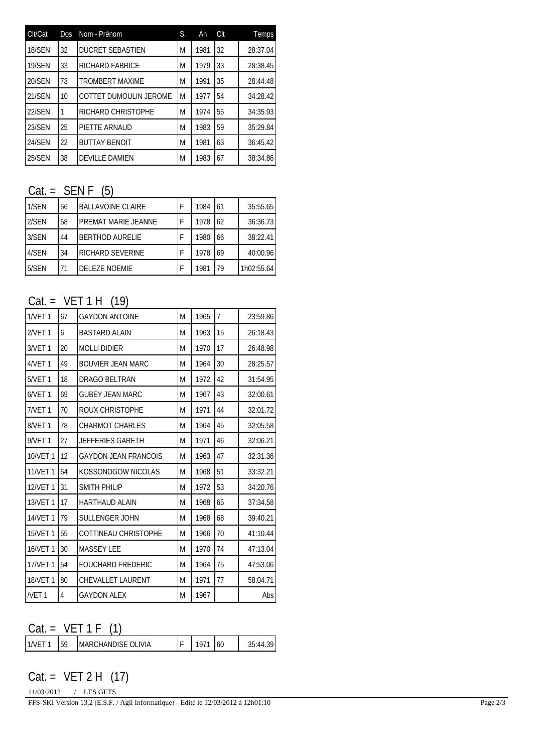| Clt/Cat       | <b>Dos</b> | Nom - Prénom            | S. | An   | Clt | Temps    |
|---------------|------------|-------------------------|----|------|-----|----------|
| 18/SEN        | 32         | <b>DUCRET SEBASTIEN</b> | Μ  | 1981 | 32  | 28:37.04 |
| <b>19/SEN</b> | 33         | <b>RICHARD FABRICE</b>  | M  | 1979 | 33  | 28:38.45 |
| 20/SEN        | 73         | <b>TROMBERT MAXIME</b>  | M  | 1991 | 35  | 28:44.48 |
| <b>21/SEN</b> | 10         | COTTET DUMOULIN JEROME  | M  | 1977 | 54  | 34:28.42 |
| <b>22/SEN</b> |            | RICHARD CHRISTOPHE      | M  | 1974 | 55  | 34:35.93 |
| 23/SEN        | 25         | PIETTE ARNAUD           | M  | 1983 | 59  | 35:29.84 |
| 24/SEN        | 22         | <b>BUTTAY BENOIT</b>    | M  | 1981 | 63  | 36:45.42 |
| 25/SEN        | 38         | <b>DEVILLE DAMIEN</b>   | Μ  | 1983 | 67  | 38:34.86 |

### $Cat =$  SEN F  $(5)$

| 1/SEN | 56 | BALLAVOINE CLAIRE      | 1984 | 61 | 35:55.65   |
|-------|----|------------------------|------|----|------------|
| 2/SEN | 58 | PREMAT MARIE JEANNE    | 1978 | 62 | 36:36.73   |
| 3/SEN | 44 | <b>BERTHOD AURELIE</b> | 1980 | 66 | 38:22.41   |
| 4/SEN | 34 | RICHARD SEVERINE       | 1978 | 69 | 40:00.96   |
| 5/SEN | 71 | <b>DELEZE NOEMIE</b>   | 1981 | 79 | 1h02:55.64 |

### $Cat = VET 1 H (19)$

| <b>1/VET 1</b>     | 67 | <b>GAYDON ANTOINE</b>       | M | 1965 | 7  | 23:59.86 |
|--------------------|----|-----------------------------|---|------|----|----------|
| 2/VET 1            | 6  | <b>BASTARD ALAIN</b>        | M | 1963 | 15 | 26:18.43 |
| 3/VET <sub>1</sub> | 20 | <b>MOLLI DIDIER</b>         | M | 1970 | 17 | 26:48.98 |
| 4/VET 1            | 49 | <b>BOUVIER JEAN MARC</b>    | M | 1964 | 30 | 28:25.57 |
| 5/VET 1            | 18 | DRAGO BELTRAN               | M | 1972 | 42 | 31:54.95 |
| 6/VET <sub>1</sub> | 69 | <b>GUBEY JEAN MARC</b>      | M | 1967 | 43 | 32:00.61 |
| 7/VET <sub>1</sub> | 70 | ROUX CHRISTOPHE             | M | 1971 | 44 | 32:01.72 |
| 8/VET <sub>1</sub> | 78 | <b>CHARMOT CHARLES</b>      | M | 1964 | 45 | 32:05.58 |
| <b>9/VET1</b>      | 27 | <b>JEFFERIES GARETH</b>     | M | 1971 | 46 | 32:06.21 |
| 10/VET 1           | 12 | <b>GAYDON JEAN FRANCOIS</b> | M | 1963 | 47 | 32:31.36 |
| <b>11/VET1</b>     | 64 | KOSSONOGOW NICOLAS          | M | 1968 | 51 | 33:32.21 |
| 12/VET 1           | 31 | <b>SMITH PHILIP</b>         | M | 1972 | 53 | 34:20.76 |
| 13/VET 1           | 17 | <b>HARTHAUD ALAIN</b>       | M | 1968 | 65 | 37:34.58 |
| <b>14/VET 1</b>    | 79 | <b>SULLENGER JOHN</b>       | M | 1968 | 68 | 39:40.21 |
| 15/VET 1           | 55 | COTTINEAU CHRISTOPHE        | M | 1966 | 70 | 41:10.44 |
| 16/VET 1           | 30 | <b>MASSEY LEE</b>           | M | 1970 | 74 | 47:13.04 |
| 17/VET 1           | 54 | <b>FOUCHARD FREDERIC</b>    | M | 1964 | 75 | 47:53.06 |
| 18/VET 1           | 80 | CHEVALLET LAURENT           | M | 1971 | 77 | 58:04.71 |
| <b>NET1</b>        | 4  | <b>GAYDON ALEX</b>          | M | 1967 |    | Abs      |

## $Cat = VET 1 F (1)$

| <b>OLIVIA</b><br>59<br>60<br>MAR(<br>:HANL)INE |
|------------------------------------------------|
|------------------------------------------------|

Cat. = VET 2 H (17)

11/03/2012 / LES GETS FFS-SKI Version 13.2 (E.S.F. / Agil Informatique) - Edité le 12/03/2012 à 12h01:10 Page 2/3